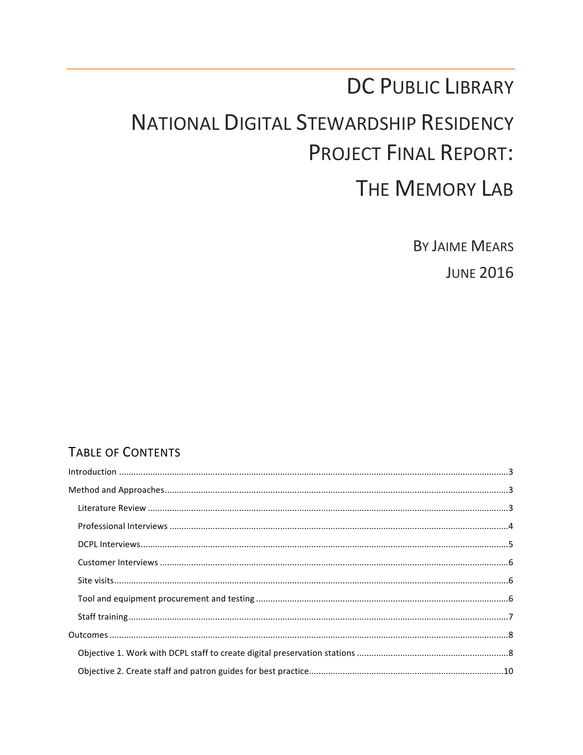## DC PUBLIC LIBRARY

# **NATIONAL DIGITAL STEWARDSHIP RESIDENCY PROJECT FINAL REPORT:**

## THE MEMORY LAB

**BY JAIME MEARS** 

**JUNE 2016** 

## **TABLE OF CONTENTS**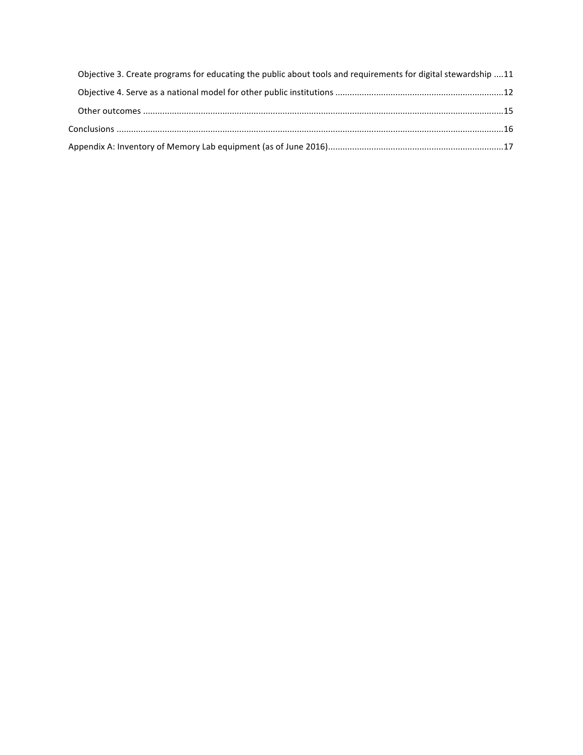| Objective 3. Create programs for educating the public about tools and requirements for digital stewardship 11 |  |
|---------------------------------------------------------------------------------------------------------------|--|
|                                                                                                               |  |
|                                                                                                               |  |
|                                                                                                               |  |
|                                                                                                               |  |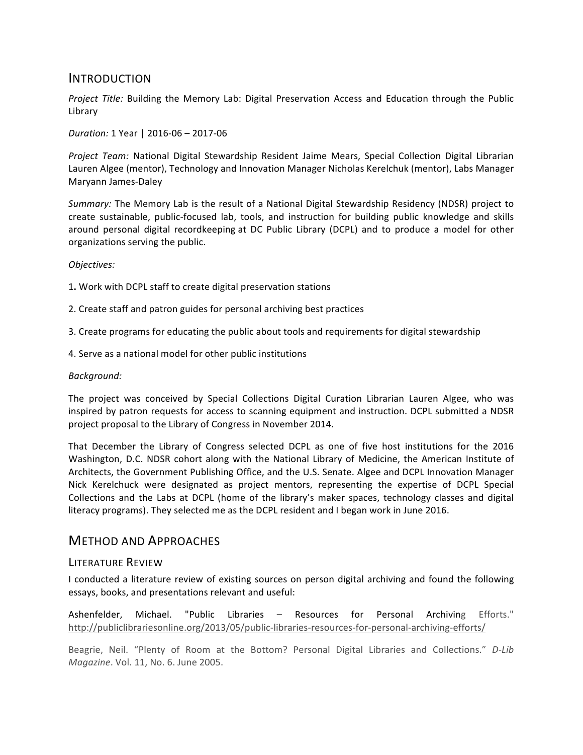#### INTRODUCTION

*Project Title:* Building the Memory Lab: Digital Preservation Access and Education through the Public Library

*Duration:* 1 Year | 2016-06 - 2017-06

*Project Team:* National Digital Stewardship Resident Jaime Mears, Special Collection Digital Librarian Lauren Algee (mentor), Technology and Innovation Manager Nicholas Kerelchuk (mentor), Labs Manager Maryann James-Daley

Summary: The Memory Lab is the result of a National Digital Stewardship Residency (NDSR) project to create sustainable, public-focused lab, tools, and instruction for building public knowledge and skills around personal digital recordkeeping at DC Public Library (DCPL) and to produce a model for other organizations serving the public.

#### *Objectives:*

1. Work with DCPL staff to create digital preservation stations

2. Create staff and patron guides for personal archiving best practices

3. Create programs for educating the public about tools and requirements for digital stewardship

4. Serve as a national model for other public institutions

#### *Background:*

The project was conceived by Special Collections Digital Curation Librarian Lauren Algee, who was inspired by patron requests for access to scanning equipment and instruction. DCPL submitted a NDSR project proposal to the Library of Congress in November 2014.

That December the Library of Congress selected DCPL as one of five host institutions for the 2016 Washington, D.C. NDSR cohort along with the National Library of Medicine, the American Institute of Architects, the Government Publishing Office, and the U.S. Senate. Algee and DCPL Innovation Manager Nick Kerelchuck were designated as project mentors, representing the expertise of DCPL Special Collections and the Labs at DCPL (home of the library's maker spaces, technology classes and digital literacy programs). They selected me as the DCPL resident and I began work in June 2016.

#### METHOD AND APPROACHES

#### LITERATURE REVIEW

I conducted a literature review of existing sources on person digital archiving and found the following essays, books, and presentations relevant and useful:

Ashenfelder, Michael. "Public Libraries – Resources for Personal Archiving Efforts." http://publiclibrariesonline.org/2013/05/public-libraries-resources-for-personal-archiving-efforts/

Beagrie, Neil. "Plenty of Room at the Bottom? Personal Digital Libraries and Collections." D-Lib *Magazine*. Vol. 11, No. 6. June 2005.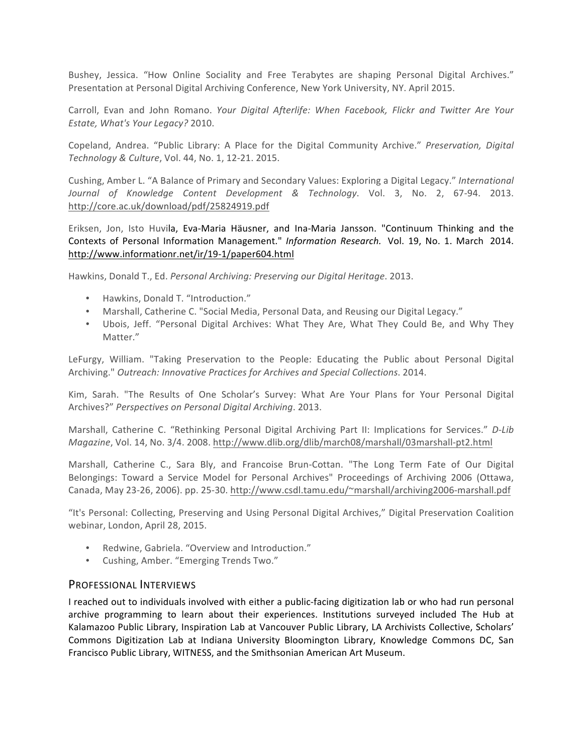Bushey, Jessica. "How Online Sociality and Free Terabytes are shaping Personal Digital Archives." Presentation at Personal Digital Archiving Conference, New York University, NY. April 2015.

Carroll, Evan and John Romano. Your Digital Afterlife: When Facebook, Flickr and Twitter Are Your *Estate, What's Your Legacy?* 2010.

Copeland, Andrea. "Public Library: A Place for the Digital Community Archive." *Preservation, Digital Technology & Culture*, Vol. 44, No. 1, 12-21. 2015.

Cushing, Amber L. "A Balance of Primary and Secondary Values: Exploring a Digital Legacy." *International Journal of Knowledge Content Development & Technology*. Vol. 3, No. 2, 67-94. 2013. http://core.ac.uk/download/pdf/25824919.pdf

Eriksen, Jon, Isto Huvila, Eva-Maria Häusner, and Ina-Maria Jansson. "Continuum Thinking and the Contexts of Personal Information Management." *Information Research.* Vol. 19, No. 1. March 2014. http://www.informationr.net/ir/19-1/paper604.html

Hawkins, Donald T., Ed. *Personal Archiving: Preserving our Digital Heritage*. 2013.

- Hawkins, Donald T. "Introduction."
- Marshall, Catherine C. "Social Media, Personal Data, and Reusing our Digital Legacy."
- Ubois, Jeff. "Personal Digital Archives: What They Are, What They Could Be, and Why They Matter."

LeFurgy, William. "Taking Preservation to the People: Educating the Public about Personal Digital Archiving." *Outreach: Innovative Practices for Archives and Special Collections*. 2014.

Kim, Sarah. "The Results of One Scholar's Survey: What Are Your Plans for Your Personal Digital Archives?" Perspectives on Personal Digital Archiving. 2013.

Marshall, Catherine C. "Rethinking Personal Digital Archiving Part II: Implications for Services." *D-Lib Magazine*, Vol. 14, No. 3/4. 2008. http://www.dlib.org/dlib/march08/marshall/03marshall-pt2.html

Marshall, Catherine C., Sara Bly, and Francoise Brun-Cottan. "The Long Term Fate of Our Digital Belongings: Toward a Service Model for Personal Archives" Proceedings of Archiving 2006 (Ottawa, Canada, May 23-26, 2006). pp. 25-30. http://www.csdl.tamu.edu/~marshall/archiving2006-marshall.pdf

"It's Personal: Collecting, Preserving and Using Personal Digital Archives," Digital Preservation Coalition webinar, London, April 28, 2015.

- Redwine, Gabriela. "Overview and Introduction."
- Cushing, Amber. "Emerging Trends Two."

#### PROFESSIONAL INTERVIEWS

I reached out to individuals involved with either a public-facing digitization lab or who had run personal archive programming to learn about their experiences. Institutions surveyed included The Hub at Kalamazoo Public Library, Inspiration Lab at Vancouver Public Library, LA Archivists Collective, Scholars' Commons Digitization Lab at Indiana University Bloomington Library, Knowledge Commons DC, San Francisco Public Library, WITNESS, and the Smithsonian American Art Museum.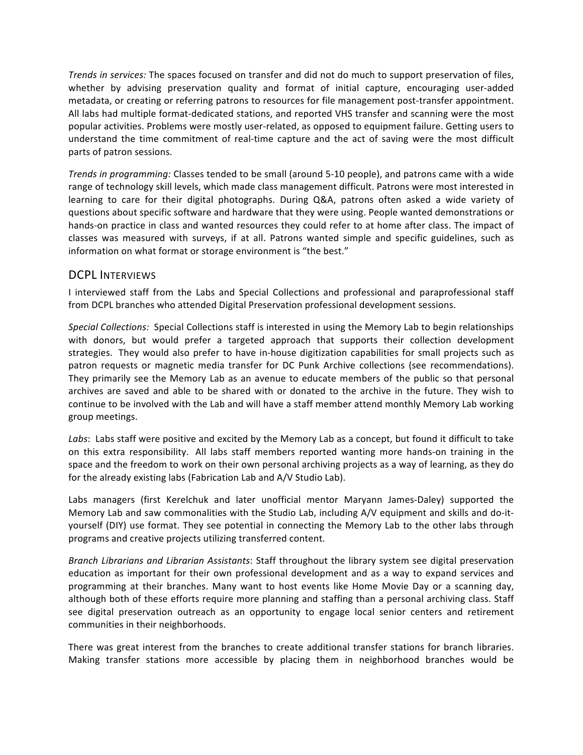*Trends in services:* The spaces focused on transfer and did not do much to support preservation of files, whether by advising preservation quality and format of initial capture, encouraging user-added metadata, or creating or referring patrons to resources for file management post-transfer appointment. All labs had multiple format-dedicated stations, and reported VHS transfer and scanning were the most popular activities. Problems were mostly user-related, as opposed to equipment failure. Getting users to understand the time commitment of real-time capture and the act of saving were the most difficult parts of patron sessions.

*Trends in programming:* Classes tended to be small (around 5-10 people), and patrons came with a wide range of technology skill levels, which made class management difficult. Patrons were most interested in learning to care for their digital photographs. During Q&A, patrons often asked a wide variety of questions about specific software and hardware that they were using. People wanted demonstrations or hands-on practice in class and wanted resources they could refer to at home after class. The impact of classes was measured with surveys, if at all. Patrons wanted simple and specific guidelines, such as information on what format or storage environment is "the best."

#### DCPL INTERVIEWS

I interviewed staff from the Labs and Special Collections and professional and paraprofessional staff from DCPL branches who attended Digital Preservation professional development sessions.

*Special Collections:* Special Collections staff is interested in using the Memory Lab to begin relationships with donors, but would prefer a targeted approach that supports their collection development strategies. They would also prefer to have in-house digitization capabilities for small projects such as patron requests or magnetic media transfer for DC Punk Archive collections (see recommendations). They primarily see the Memory Lab as an avenue to educate members of the public so that personal archives are saved and able to be shared with or donated to the archive in the future. They wish to continue to be involved with the Lab and will have a staff member attend monthly Memory Lab working group meetings.

Labs: Labs staff were positive and excited by the Memory Lab as a concept, but found it difficult to take on this extra responsibility. All labs staff members reported wanting more hands-on training in the space and the freedom to work on their own personal archiving projects as a way of learning, as they do for the already existing labs (Fabrication Lab and A/V Studio Lab).

Labs managers (first Kerelchuk and later unofficial mentor Maryann James-Daley) supported the Memory Lab and saw commonalities with the Studio Lab, including A/V equipment and skills and do-ityourself (DIY) use format. They see potential in connecting the Memory Lab to the other labs through programs and creative projects utilizing transferred content.

*Branch Librarians and Librarian Assistants*: Staff throughout the library system see digital preservation education as important for their own professional development and as a way to expand services and programming at their branches. Many want to host events like Home Movie Day or a scanning day, although both of these efforts require more planning and staffing than a personal archiving class. Staff see digital preservation outreach as an opportunity to engage local senior centers and retirement communities in their neighborhoods.

There was great interest from the branches to create additional transfer stations for branch libraries. Making transfer stations more accessible by placing them in neighborhood branches would be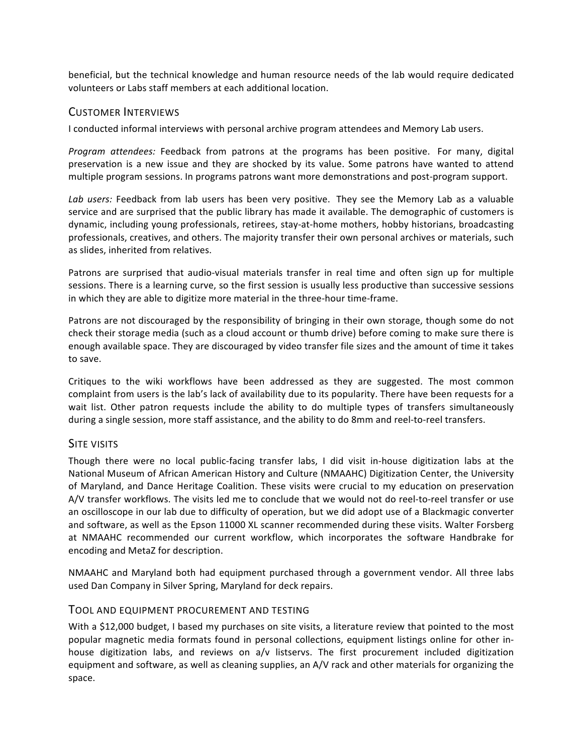beneficial, but the technical knowledge and human resource needs of the lab would require dedicated volunteers or Labs staff members at each additional location.

#### CUSTOMER INTERVIEWS

I conducted informal interviews with personal archive program attendees and Memory Lab users.

Program attendees: Feedback from patrons at the programs has been positive. For many, digital preservation is a new issue and they are shocked by its value. Some patrons have wanted to attend multiple program sessions. In programs patrons want more demonstrations and post-program support.

Lab *users:* Feedback from lab users has been very positive. They see the Memory Lab as a valuable service and are surprised that the public library has made it available. The demographic of customers is dynamic, including young professionals, retirees, stay-at-home mothers, hobby historians, broadcasting professionals, creatives, and others. The majority transfer their own personal archives or materials, such as slides, inherited from relatives.

Patrons are surprised that audio-visual materials transfer in real time and often sign up for multiple sessions. There is a learning curve, so the first session is usually less productive than successive sessions in which they are able to digitize more material in the three-hour time-frame.

Patrons are not discouraged by the responsibility of bringing in their own storage, though some do not check their storage media (such as a cloud account or thumb drive) before coming to make sure there is enough available space. They are discouraged by video transfer file sizes and the amount of time it takes to save.

Critiques to the wiki workflows have been addressed as they are suggested. The most common complaint from users is the lab's lack of availability due to its popularity. There have been requests for a wait list. Other patron requests include the ability to do multiple types of transfers simultaneously during a single session, more staff assistance, and the ability to do 8mm and reel-to-reel transfers.

#### SITE VISITS

Though there were no local public-facing transfer labs, I did visit in-house digitization labs at the National Museum of African American History and Culture (NMAAHC) Digitization Center, the University of Maryland, and Dance Heritage Coalition. These visits were crucial to my education on preservation A/V transfer workflows. The visits led me to conclude that we would not do reel-to-reel transfer or use an oscilloscope in our lab due to difficulty of operation, but we did adopt use of a Blackmagic converter and software, as well as the Epson 11000 XL scanner recommended during these visits. Walter Forsberg at NMAAHC recommended our current workflow, which incorporates the software Handbrake for encoding and MetaZ for description.

NMAAHC and Maryland both had equipment purchased through a government vendor. All three labs used Dan Company in Silver Spring, Maryland for deck repairs.

#### TOOL AND EQUIPMENT PROCUREMENT AND TESTING

With a \$12,000 budget, I based my purchases on site visits, a literature review that pointed to the most popular magnetic media formats found in personal collections, equipment listings online for other inhouse digitization labs, and reviews on  $a/v$  listservs. The first procurement included digitization equipment and software, as well as cleaning supplies, an A/V rack and other materials for organizing the space.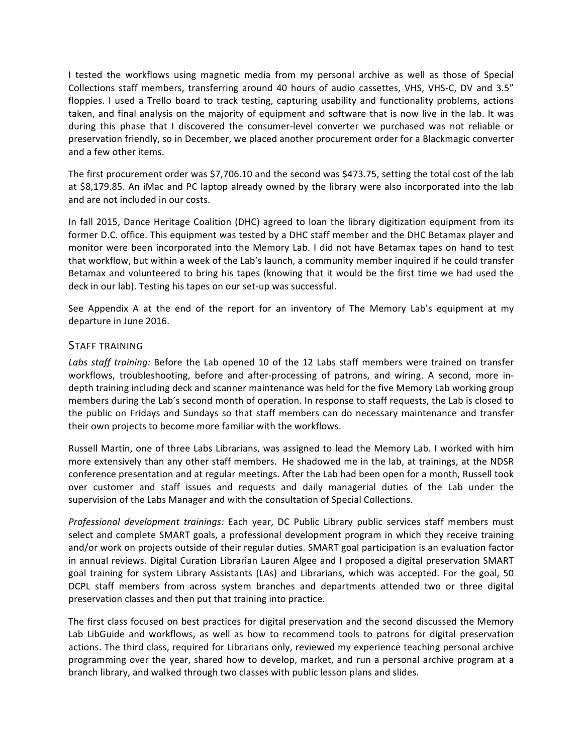I tested the workflows using magnetic media from my personal archive as well as those of Special Collections staff members, transferring around 40 hours of audio cassettes, VHS, VHS-C, DV and 3.5" floppies. I used a Trello board to track testing, capturing usability and functionality problems, actions taken, and final analysis on the majority of equipment and software that is now live in the lab. It was during this phase that I discovered the consumer-level converter we purchased was not reliable or preservation friendly, so in December, we placed another procurement order for a Blackmagic converter and a few other items.

The first procurement order was \$7,706.10 and the second was \$473.75, setting the total cost of the lab at \$8,179.85. An iMac and PC laptop already owned by the library were also incorporated into the lab and are not included in our costs.

In fall 2015, Dance Heritage Coalition (DHC) agreed to loan the library digitization equipment from its former D.C. office. This equipment was tested by a DHC staff member and the DHC Betamax player and monitor were been incorporated into the Memory Lab. I did not have Betamax tapes on hand to test that workflow, but within a week of the Lab's launch, a community member inquired if he could transfer Betamax and volunteered to bring his tapes (knowing that it would be the first time we had used the deck in our lab). Testing his tapes on our set-up was successful.

See Appendix A at the end of the report for an inventory of The Memory Lab's equipment at my departure in June 2016.

#### STAFF TRAINING

Labs staff training: Before the Lab opened 10 of the 12 Labs staff members were trained on transfer workflows, troubleshooting, before and after-processing of patrons, and wiring. A second, more indepth training including deck and scanner maintenance was held for the five Memory Lab working group members during the Lab's second month of operation. In response to staff requests, the Lab is closed to the public on Fridays and Sundays so that staff members can do necessary maintenance and transfer their own projects to become more familiar with the workflows.

Russell Martin, one of three Labs Librarians, was assigned to lead the Memory Lab. I worked with him more extensively than any other staff members. He shadowed me in the lab, at trainings, at the NDSR conference presentation and at regular meetings. After the Lab had been open for a month, Russell took over customer and staff issues and requests and daily managerial duties of the Lab under the supervision of the Labs Manager and with the consultation of Special Collections.

*Professional development trainings:* Each year, DC Public Library public services staff members must select and complete SMART goals, a professional development program in which they receive training and/or work on projects outside of their regular duties. SMART goal participation is an evaluation factor in annual reviews. Digital Curation Librarian Lauren Algee and I proposed a digital preservation SMART goal training for system Library Assistants (LAs) and Librarians, which was accepted. For the goal, 50 DCPL staff members from across system branches and departments attended two or three digital preservation classes and then put that training into practice.

The first class focused on best practices for digital preservation and the second discussed the Memory Lab LibGuide and workflows, as well as how to recommend tools to patrons for digital preservation actions. The third class, required for Librarians only, reviewed my experience teaching personal archive programming over the year, shared how to develop, market, and run a personal archive program at a branch library, and walked through two classes with public lesson plans and slides.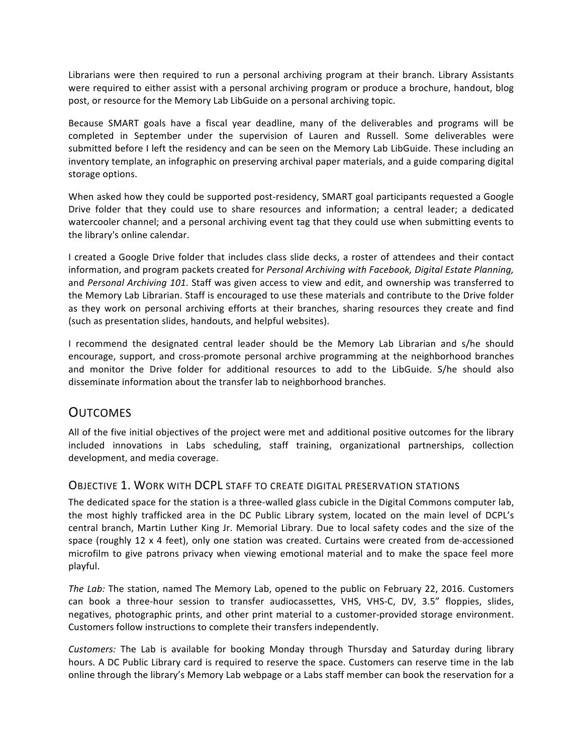Librarians were then required to run a personal archiving program at their branch. Library Assistants were required to either assist with a personal archiving program or produce a brochure, handout, blog post, or resource for the Memory Lab LibGuide on a personal archiving topic.

Because SMART goals have a fiscal year deadline, many of the deliverables and programs will be completed in September under the supervision of Lauren and Russell. Some deliverables were submitted before I left the residency and can be seen on the Memory Lab LibGuide. These including an inventory template, an infographic on preserving archival paper materials, and a guide comparing digital storage options.

When asked how they could be supported post-residency, SMART goal participants requested a Google Drive folder that they could use to share resources and information; a central leader; a dedicated watercooler channel; and a personal archiving event tag that they could use when submitting events to the library's online calendar.

I created a Google Drive folder that includes class slide decks, a roster of attendees and their contact information, and program packets created for *Personal Archiving with Facebook, Digital Estate Planning,* and *Personal Archiving 101*. Staff was given access to view and edit, and ownership was transferred to the Memory Lab Librarian. Staff is encouraged to use these materials and contribute to the Drive folder as they work on personal archiving efforts at their branches, sharing resources they create and find (such as presentation slides, handouts, and helpful websites).

I recommend the designated central leader should be the Memory Lab Librarian and s/he should encourage, support, and cross-promote personal archive programming at the neighborhood branches and monitor the Drive folder for additional resources to add to the LibGuide. S/he should also disseminate information about the transfer lab to neighborhood branches.

### **OUTCOMES**

All of the five initial objectives of the project were met and additional positive outcomes for the library included innovations in Labs scheduling, staff training, organizational partnerships, collection development, and media coverage.

#### **OBJECTIVE 1. WORK WITH DCPL STAFF TO CREATE DIGITAL PRESERVATION STATIONS**

The dedicated space for the station is a three-walled glass cubicle in the Digital Commons computer lab, the most highly trafficked area in the DC Public Library system, located on the main level of DCPL's central branch, Martin Luther King Jr. Memorial Library. Due to local safety codes and the size of the space (roughly 12  $\times$  4 feet), only one station was created. Curtains were created from de-accessioned microfilm to give patrons privacy when viewing emotional material and to make the space feel more playful.

*The Lab:* The station, named The Memory Lab, opened to the public on February 22, 2016. Customers can book a three-hour session to transfer audiocassettes, VHS, VHS-C, DV, 3.5" floppies, slides, negatives, photographic prints, and other print material to a customer-provided storage environment. Customers follow instructions to complete their transfers independently.

*Customers:* The Lab is available for booking Monday through Thursday and Saturday during library hours. A DC Public Library card is required to reserve the space. Customers can reserve time in the lab online through the library's Memory Lab webpage or a Labs staff member can book the reservation for a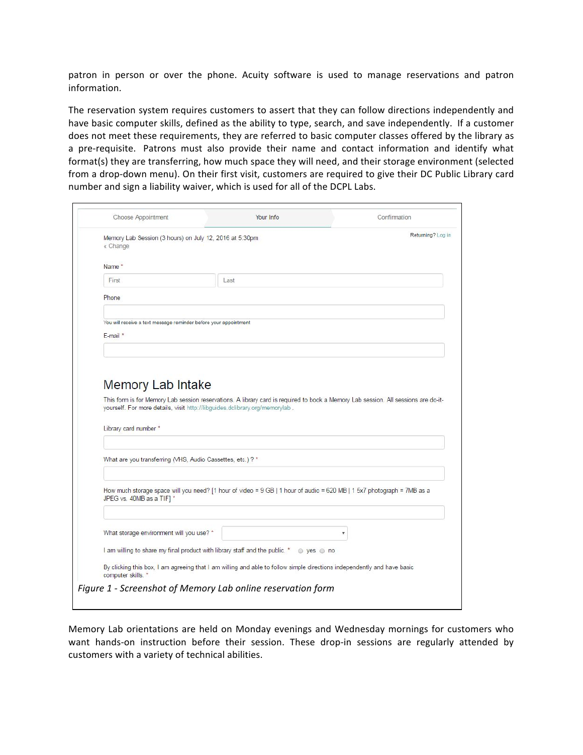patron in person or over the phone. Acuity software is used to manage reservations and patron information.

The reservation system requires customers to assert that they can follow directions independently and have basic computer skills, defined as the ability to type, search, and save independently. If a customer does not meet these requirements, they are referred to basic computer classes offered by the library as a pre-requisite. Patrons must also provide their name and contact information and identify what format(s) they are transferring, how much space they will need, and their storage environment (selected from a drop-down menu). On their first visit, customers are required to give their DC Public Library card number and sign a liability waiver, which is used for all of the DCPL Labs.

|                                                                     |                                                                                                                                    | Returning? Log in |
|---------------------------------------------------------------------|------------------------------------------------------------------------------------------------------------------------------------|-------------------|
| Memory Lab Session (3 hours) on July 12, 2016 at 5:30pm<br>« Change |                                                                                                                                    |                   |
| Name *                                                              |                                                                                                                                    |                   |
| First                                                               | Last                                                                                                                               |                   |
| Phone                                                               |                                                                                                                                    |                   |
| You will receive a text message reminder before your appointment    |                                                                                                                                    |                   |
| $E$ -mail $*$                                                       |                                                                                                                                    |                   |
|                                                                     |                                                                                                                                    |                   |
|                                                                     |                                                                                                                                    |                   |
|                                                                     |                                                                                                                                    |                   |
|                                                                     |                                                                                                                                    |                   |
|                                                                     |                                                                                                                                    |                   |
|                                                                     |                                                                                                                                    |                   |
| <b>Memory Lab Intake</b>                                            |                                                                                                                                    |                   |
|                                                                     |                                                                                                                                    |                   |
|                                                                     | This form is for Memory Lab session reservations. A library card is required to book a Memory Lab session. All sessions are do-it- |                   |
|                                                                     | yourself. For more details, visit http://libguides.dclibrary.org/memorylab.                                                        |                   |
|                                                                     |                                                                                                                                    |                   |
|                                                                     |                                                                                                                                    |                   |
| Library card number *                                               |                                                                                                                                    |                   |
|                                                                     |                                                                                                                                    |                   |
|                                                                     |                                                                                                                                    |                   |
| What are you transferring (VHS, Audio Cassettes, etc.) ? *          |                                                                                                                                    |                   |
|                                                                     |                                                                                                                                    |                   |
|                                                                     |                                                                                                                                    |                   |
|                                                                     |                                                                                                                                    |                   |
|                                                                     | How much storage space will you need? [1 hour of video = 9 GB   1 hour of audio = 620 MB   1 5x7 photograph = 7MB as a             |                   |
| JPEG vs. 40MB as a TIF] *                                           |                                                                                                                                    |                   |
|                                                                     |                                                                                                                                    |                   |
|                                                                     |                                                                                                                                    |                   |
|                                                                     |                                                                                                                                    |                   |
|                                                                     |                                                                                                                                    |                   |
| What storage environment will you use? *                            |                                                                                                                                    |                   |
|                                                                     |                                                                                                                                    |                   |
|                                                                     | I am willing to share my final product with library staff and the public. *<br>◎ yes ◎ no                                          |                   |
|                                                                     |                                                                                                                                    |                   |
|                                                                     | By clicking this box, I am agreeing that I am willing and able to follow simple directions independently and have basic            |                   |
| computer skills. *                                                  |                                                                                                                                    |                   |

Memory Lab orientations are held on Monday evenings and Wednesday mornings for customers who want hands-on instruction before their session. These drop-in sessions are regularly attended by customers with a variety of technical abilities.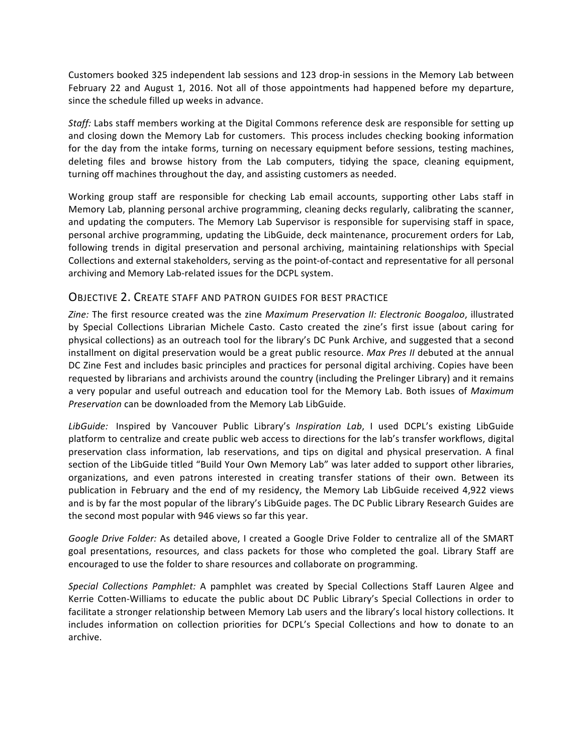Customers booked 325 independent lab sessions and 123 drop-in sessions in the Memory Lab between February 22 and August 1, 2016. Not all of those appointments had happened before my departure, since the schedule filled up weeks in advance.

*Staff:* Labs staff members working at the Digital Commons reference desk are responsible for setting up and closing down the Memory Lab for customers. This process includes checking booking information for the day from the intake forms, turning on necessary equipment before sessions, testing machines, deleting files and browse history from the Lab computers, tidying the space, cleaning equipment, turning off machines throughout the day, and assisting customers as needed.

Working group staff are responsible for checking Lab email accounts, supporting other Labs staff in Memory Lab, planning personal archive programming, cleaning decks regularly, calibrating the scanner, and updating the computers. The Memory Lab Supervisor is responsible for supervising staff in space, personal archive programming, updating the LibGuide, deck maintenance, procurement orders for Lab, following trends in digital preservation and personal archiving, maintaining relationships with Special Collections and external stakeholders, serving as the point-of-contact and representative for all personal archiving and Memory Lab-related issues for the DCPL system.

#### OBJECTIVE 2. CREATE STAFF AND PATRON GUIDES FOR BEST PRACTICE

Zine: The first resource created was the zine *Maximum Preservation II: Electronic Boogaloo*, illustrated by Special Collections Librarian Michele Casto. Casto created the zine's first issue (about caring for physical collections) as an outreach tool for the library's DC Punk Archive, and suggested that a second installment on digital preservation would be a great public resource. *Max Pres II* debuted at the annual DC Zine Fest and includes basic principles and practices for personal digital archiving. Copies have been requested by librarians and archivists around the country (including the Prelinger Library) and it remains a very popular and useful outreach and education tool for the Memory Lab. Both issues of *Maximum Preservation* can be downloaded from the Memory Lab LibGuide.

LibGuide: Inspired by Vancouver Public Library's *Inspiration Lab*, I used DCPL's existing LibGuide platform to centralize and create public web access to directions for the lab's transfer workflows, digital preservation class information, lab reservations, and tips on digital and physical preservation. A final section of the LibGuide titled "Build Your Own Memory Lab" was later added to support other libraries, organizations, and even patrons interested in creating transfer stations of their own. Between its publication in February and the end of my residency, the Memory Lab LibGuide received 4,922 views and is by far the most popular of the library's LibGuide pages. The DC Public Library Research Guides are the second most popular with 946 views so far this year.

*Google Drive Folder:* As detailed above, I created a Google Drive Folder to centralize all of the SMART goal presentations, resources, and class packets for those who completed the goal. Library Staff are encouraged to use the folder to share resources and collaborate on programming.

*Special Collections Pamphlet:* A pamphlet was created by Special Collections Staff Lauren Algee and Kerrie Cotten-Williams to educate the public about DC Public Library's Special Collections in order to facilitate a stronger relationship between Memory Lab users and the library's local history collections. It includes information on collection priorities for DCPL's Special Collections and how to donate to an archive.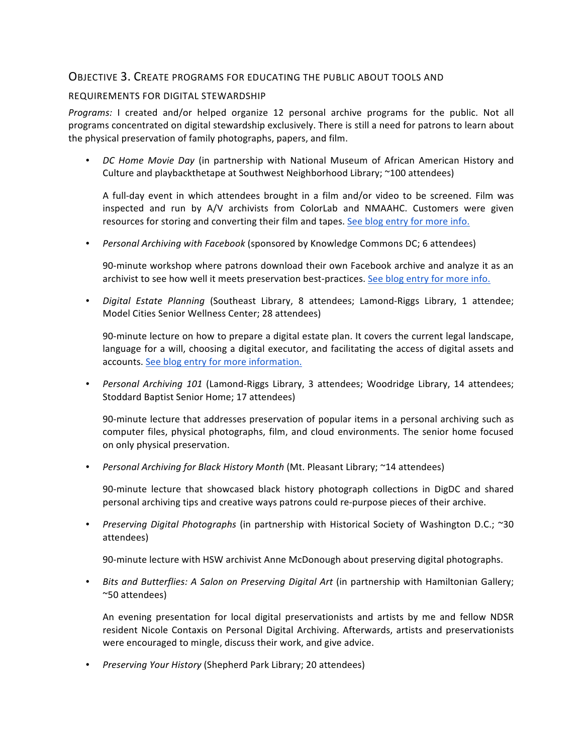#### OBJECTIVE 3. CREATE PROGRAMS FOR EDUCATING THE PUBLIC ABOUT TOOLS AND

#### REQUIREMENTS FOR DIGITAL STEWARDSHIP

*Programs:* I created and/or helped organize 12 personal archive programs for the public. Not all programs concentrated on digital stewardship exclusively. There is still a need for patrons to learn about the physical preservation of family photographs, papers, and film.

DC Home Movie Day (in partnership with National Museum of African American History and Culture and playbackthetape at Southwest Neighborhood Library; ~100 attendees)

A full-day event in which attendees brought in a film and/or video to be screened. Film was inspected and run by A/V archivists from ColorLab and NMAAHC. Customers were given resources for storing and converting their film and tapes. See blog entry for more info.

• *Personal Archiving with Facebook* (sponsored by Knowledge Commons DC; 6 attendees)

90-minute workshop where patrons download their own Facebook archive and analyze it as an archivist to see how well it meets preservation best-practices. See blog entry for more info.

• *Digital Estate Planning* (Southeast Library, 8 attendees; Lamond-Riggs Library, 1 attendee; Model Cities Senior Wellness Center; 28 attendees)

90-minute lecture on how to prepare a digital estate plan. It covers the current legal landscape, language for a will, choosing a digital executor, and facilitating the access of digital assets and accounts. See blog entry for more information.

• *Personal Archiving 101* (Lamond-Riggs Library, 3 attendees; Woodridge Library, 14 attendees; Stoddard Baptist Senior Home; 17 attendees)

90-minute lecture that addresses preservation of popular items in a personal archiving such as computer files, physical photographs, film, and cloud environments. The senior home focused on only physical preservation.

• Personal Archiving for Black History Month (Mt. Pleasant Library; ~14 attendees)

90-minute lecture that showcased black history photograph collections in DigDC and shared personal archiving tips and creative ways patrons could re-purpose pieces of their archive.

• *Preserving Digital Photographs* (in partnership with Historical Society of Washington D.C.; ~30 attendees)

90-minute lecture with HSW archivist Anne McDonough about preserving digital photographs.

• Bits and Butterflies: A Salon on Preserving Digital Art (in partnership with Hamiltonian Gallery; ~50 attendees)

An evening presentation for local digital preservationists and artists by me and fellow NDSR resident Nicole Contaxis on Personal Digital Archiving. Afterwards, artists and preservationists were encouraged to mingle, discuss their work, and give advice.

• Preserving Your History (Shepherd Park Library; 20 attendees)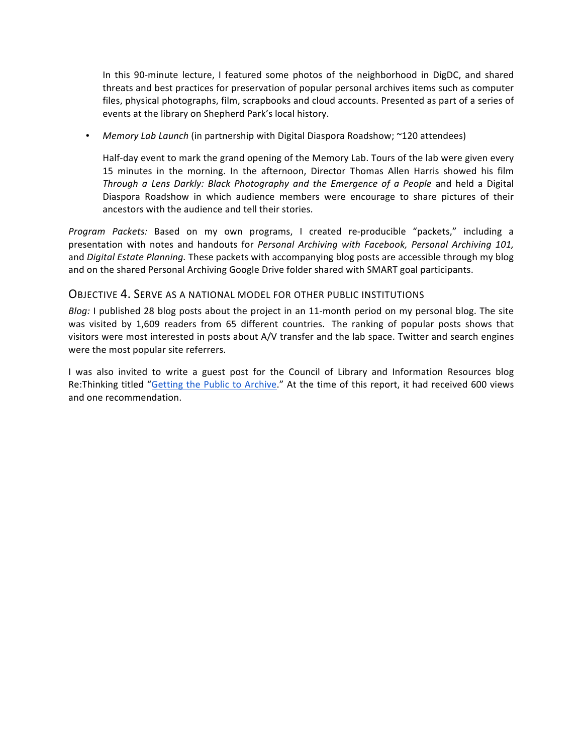In this 90-minute lecture, I featured some photos of the neighborhood in DigDC, and shared threats and best practices for preservation of popular personal archives items such as computer files, physical photographs, film, scrapbooks and cloud accounts. Presented as part of a series of events at the library on Shepherd Park's local history.

• *Memory Lab Launch* (in partnership with Digital Diaspora Roadshow; ~120 attendees)

Half-day event to mark the grand opening of the Memory Lab. Tours of the lab were given every 15 minutes in the morning. In the afternoon, Director Thomas Allen Harris showed his film Through a Lens Darkly: Black Photography and the Emergence of a People and held a Digital Diaspora Roadshow in which audience members were encourage to share pictures of their ancestors with the audience and tell their stories.

*Program Packets:* Based on my own programs, I created re-producible "packets," including a presentation with notes and handouts for *Personal Archiving with Facebook, Personal Archiving 101,* and *Digital Estate Planning*. These packets with accompanying blog posts are accessible through my blog and on the shared Personal Archiving Google Drive folder shared with SMART goal participants.

#### **OBJECTIVE 4. SERVE AS A NATIONAL MODEL FOR OTHER PUBLIC INSTITUTIONS**

*Blog:* I published 28 blog posts about the project in an 11-month period on my personal blog. The site was visited by 1,609 readers from 65 different countries. The ranking of popular posts shows that visitors were most interested in posts about A/V transfer and the lab space. Twitter and search engines were the most popular site referrers.

I was also invited to write a guest post for the Council of Library and Information Resources blog Re:Thinking titled "Getting the Public to Archive." At the time of this report, it had received 600 views and one recommendation.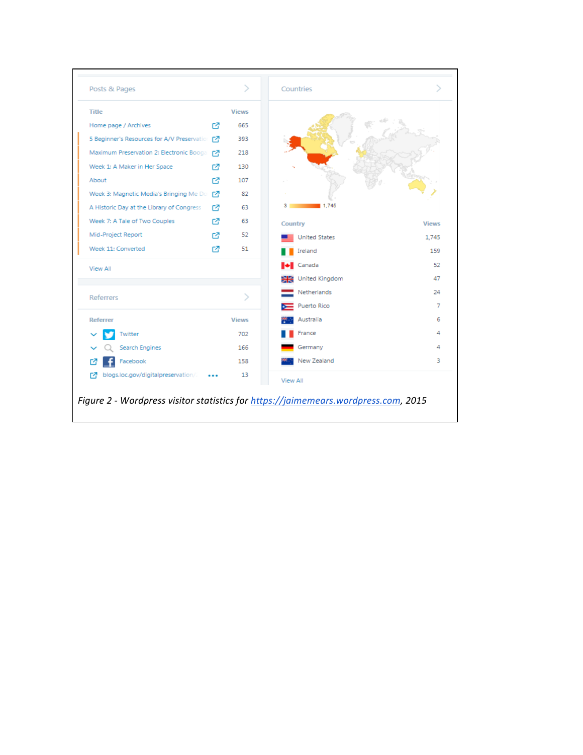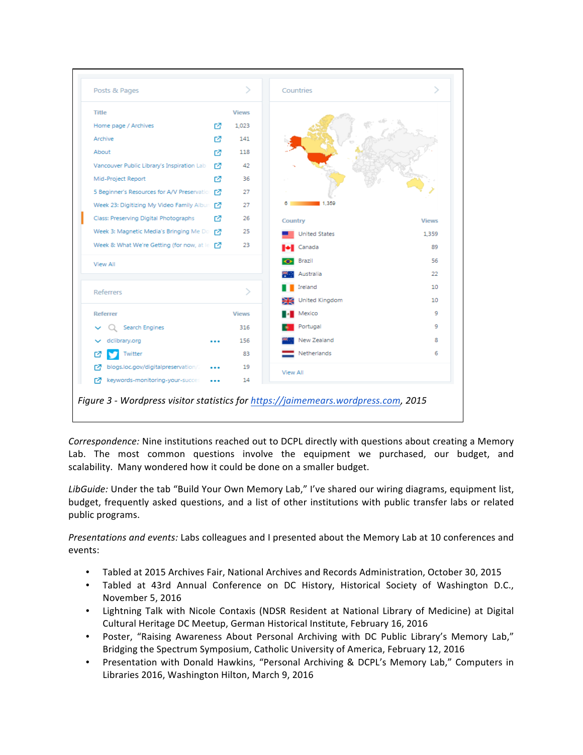

*Correspondence:* Nine institutions reached out to DCPL directly with questions about creating a Memory Lab. The most common questions involve the equipment we purchased, our budget, and scalability. Many wondered how it could be done on a smaller budget.

LibGuide: Under the tab "Build Your Own Memory Lab," I've shared our wiring diagrams, equipment list, budget, frequently asked questions, and a list of other institutions with public transfer labs or related public programs.

*Presentations and events:* Labs colleagues and I presented about the Memory Lab at 10 conferences and events:

- Tabled at 2015 Archives Fair, National Archives and Records Administration, October 30, 2015
- Tabled at 43rd Annual Conference on DC History, Historical Society of Washington D.C., November 5, 2016
- Lightning Talk with Nicole Contaxis (NDSR Resident at National Library of Medicine) at Digital Cultural Heritage DC Meetup, German Historical Institute, February 16, 2016
- Poster, "Raising Awareness About Personal Archiving with DC Public Library's Memory Lab," Bridging the Spectrum Symposium, Catholic University of America, February 12, 2016
- Presentation with Donald Hawkins, "Personal Archiving & DCPL's Memory Lab," Computers in Libraries 2016, Washington Hilton, March 9, 2016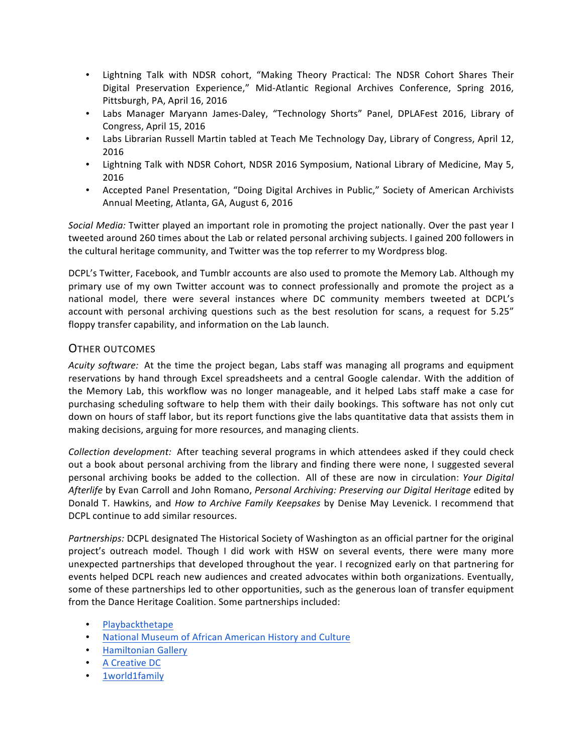- Lightning Talk with NDSR cohort, "Making Theory Practical: The NDSR Cohort Shares Their Digital Preservation Experience," Mid-Atlantic Regional Archives Conference, Spring 2016, Pittsburgh, PA, April 16, 2016
- Labs Manager Maryann James-Daley, "Technology Shorts" Panel, DPLAFest 2016, Library of Congress, April 15, 2016
- Labs Librarian Russell Martin tabled at Teach Me Technology Day, Library of Congress, April 12, 2016
- Lightning Talk with NDSR Cohort, NDSR 2016 Symposium, National Library of Medicine, May 5, 2016
- Accepted Panel Presentation, "Doing Digital Archives in Public," Society of American Archivists Annual Meeting, Atlanta, GA, August 6, 2016

*Social Media:* Twitter played an important role in promoting the project nationally. Over the past year I tweeted around 260 times about the Lab or related personal archiving subjects. I gained 200 followers in the cultural heritage community, and Twitter was the top referrer to my Wordpress blog.

DCPL's Twitter, Facebook, and Tumblr accounts are also used to promote the Memory Lab. Although my primary use of my own Twitter account was to connect professionally and promote the project as a national model, there were several instances where DC community members tweeted at DCPL's account with personal archiving questions such as the best resolution for scans, a request for 5.25" floppy transfer capability, and information on the Lab launch.

#### OTHER OUTCOMES

Acuity software: At the time the project began, Labs staff was managing all programs and equipment reservations by hand through Excel spreadsheets and a central Google calendar. With the addition of the Memory Lab, this workflow was no longer manageable, and it helped Labs staff make a case for purchasing scheduling software to help them with their daily bookings. This software has not only cut down on hours of staff labor, but its report functions give the labs quantitative data that assists them in making decisions, arguing for more resources, and managing clients.

*Collection development:* After teaching several programs in which attendees asked if they could check out a book about personal archiving from the library and finding there were none, I suggested several personal archiving books be added to the collection. All of these are now in circulation: *Your Digital* Afterlife by Evan Carroll and John Romano, *Personal Archiving: Preserving our Digital Heritage* edited by Donald T. Hawkins, and *How to Archive Family Keepsakes* by Denise May Levenick. I recommend that DCPL continue to add similar resources.

Partnerships: DCPL designated The Historical Society of Washington as an official partner for the original project's outreach model. Though I did work with HSW on several events, there were many more unexpected partnerships that developed throughout the year. I recognized early on that partnering for events helped DCPL reach new audiences and created advocates within both organizations. Eventually, some of these partnerships led to other opportunities, such as the generous loan of transfer equipment from the Dance Heritage Coalition. Some partnerships included:

- Playbackthetape
- National Museum of African American History and Culture
- Hamiltonian Gallery
- A Creative DC
- 1world1family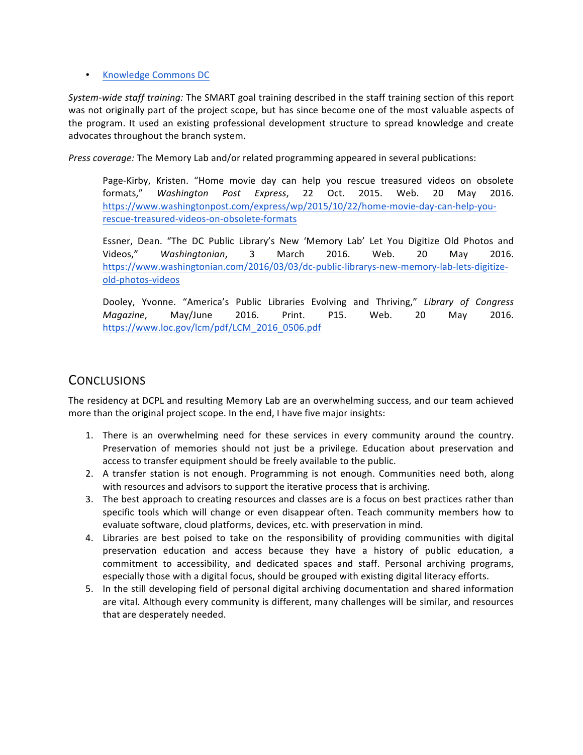#### • Knowledge Commons DC

*System-wide staff training:* The SMART goal training described in the staff training section of this report was not originally part of the project scope, but has since become one of the most valuable aspects of the program. It used an existing professional development structure to spread knowledge and create advocates throughout the branch system.

*Press coverage:* The Memory Lab and/or related programming appeared in several publications:

Page-Kirby, Kristen. "Home movie day can help you rescue treasured videos on obsolete formats," Washington Post Express, 22 Oct. 2015. Web. 20 May 2016. https://www.washingtonpost.com/express/wp/2015/10/22/home-movie-day-can-help-yourescue-treasured-videos-on-obsolete-formats

Essner, Dean. "The DC Public Library's New 'Memory Lab' Let You Digitize Old Photos and Videos," Washingtonian, 3 March 2016. Web. 20 May 2016. https://www.washingtonian.com/2016/03/03/dc-public-librarys-new-memory-lab-lets-digitizeold-photos-videos

Dooley, Yvonne. "America's Public Libraries Evolving and Thriving," Library of Congress *Magazine*, May/June 2016. Print. P15. Web. 20 May 2016. https://www.loc.gov/lcm/pdf/LCM\_2016\_0506.pdf

#### **CONCLUSIONS**

The residency at DCPL and resulting Memory Lab are an overwhelming success, and our team achieved more than the original project scope. In the end, I have five major insights:

- 1. There is an overwhelming need for these services in every community around the country. Preservation of memories should not just be a privilege. Education about preservation and access to transfer equipment should be freely available to the public.
- 2. A transfer station is not enough. Programming is not enough. Communities need both, along with resources and advisors to support the iterative process that is archiving.
- 3. The best approach to creating resources and classes are is a focus on best practices rather than specific tools which will change or even disappear often. Teach community members how to evaluate software, cloud platforms, devices, etc. with preservation in mind.
- 4. Libraries are best poised to take on the responsibility of providing communities with digital preservation education and access because they have a history of public education, a commitment to accessibility, and dedicated spaces and staff. Personal archiving programs, especially those with a digital focus, should be grouped with existing digital literacy efforts.
- 5. In the still developing field of personal digital archiving documentation and shared information are vital. Although every community is different, many challenges will be similar, and resources that are desperately needed.